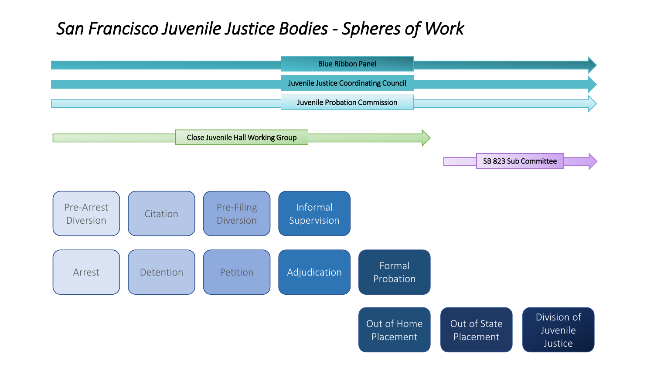#### *San Francisco Juvenile Justice Bodies - Spheres of Work*

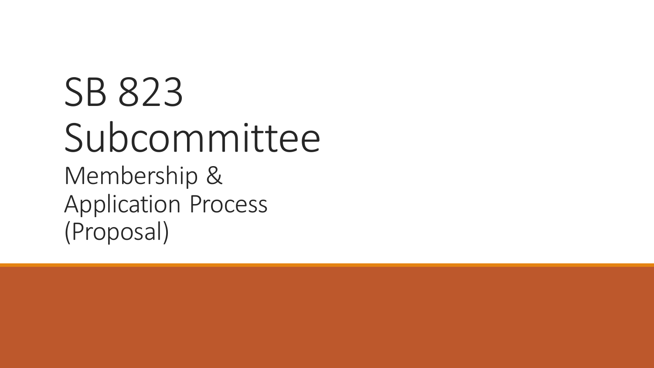# SB 823 Subcommittee Membership & Application Process (Proposal)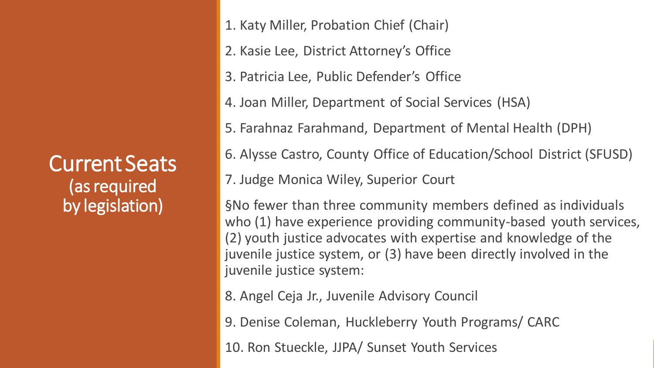Current Seats (as required by legislation)

1. Katy Miller, Probation Chief (Chair)

- 2. Kasie Lee, District Attorney's Office
- 3. Patricia Lee, Public Defender's Office
- 4. Joan Miller, Department of Social Services (HSA)
- 5. Farahnaz Farahmand, Department of Mental Health (DPH)
- 6. Alysse Castro, County Office of Education/School District (SFUSD)
- 7. Judge Monica Wiley, Superior Court

§No fewer than three community members defined as individuals who (1) have experience providing community-based youth services, (2) youth justice advocates with expertise and knowledge of the juvenile justice system, or (3) have been directly involved in the juvenile justice system:

- 8. Angel Ceja Jr., Juvenile Advisory Council
- 9. Denise Coleman, Huckleberry Youth Programs/ CARC
- 10. Ron Stueckle, JJPA/ Sunset Youth Services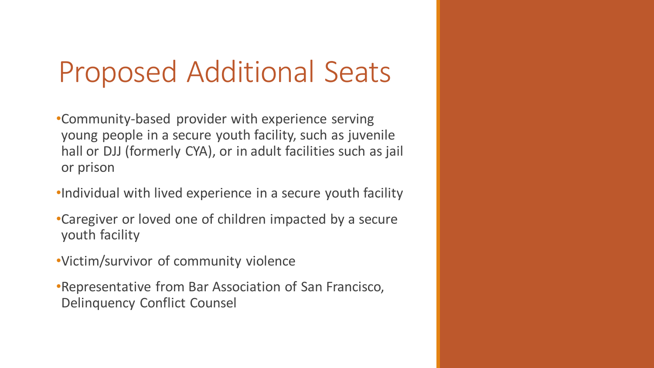### Proposed Additional Seats

•Community-based provider with experience serving young people in a secure youth facility, such as juvenile hall or DJJ (formerly CYA), or in adult facilities such as jail or prison

•Individual with lived experience in a secure youth facility

- •Caregiver or loved one of children impacted by a secure youth facility
- •Victim/survivor of community violence
- •Representative from Bar Association of San Francisco, Delinquency Conflict Counsel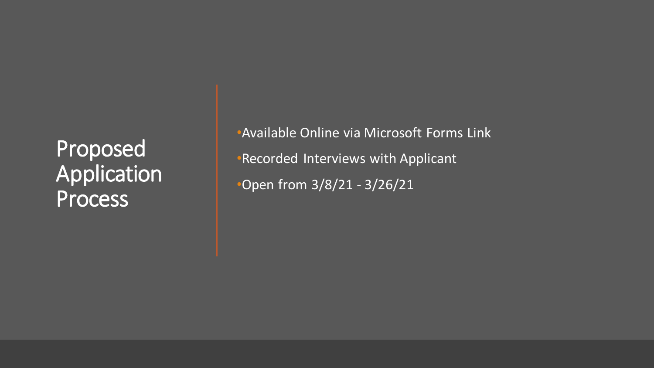### Proposed Application Process

•Available Online via Microsoft Forms Link •Recorded Interviews with Applicant •Open from 3/8/21 - 3/26/21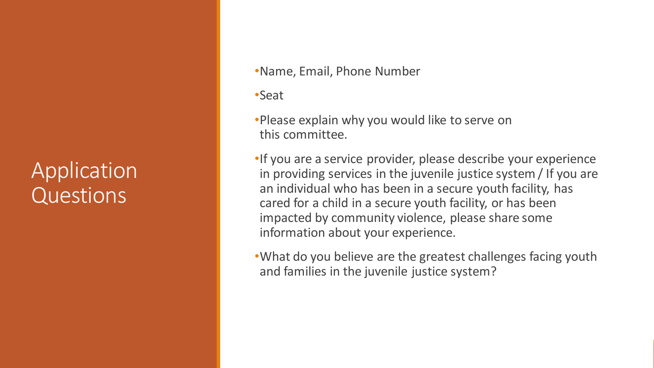### Application **Questions**

- •Name, Email, Phone Number
- •Seat
- •Please explain why you would like to serve on this committee.
- •If you are a service provider, please describe your experience in providing services in the juvenile justice system / If you are an individual who has been in a secure youth facility, has cared for a child in a secure youth facility, or has been impacted by community violence, please share some information about your experience.
- •What do you believe are the greatest challenges facing youth and families in the juvenile justice system?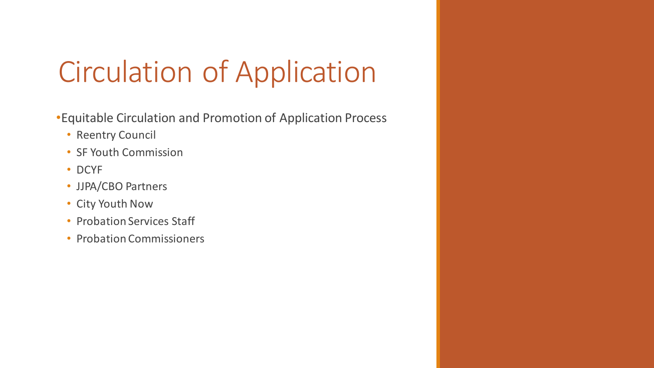## Circulation of Application

- •Equitable Circulation and Promotion of Application Process
	- Reentry Council
	- SF Youth Commission
	- DCYF
	- JJPA/CBO Partners
	- City Youth Now
	- Probation Services Staff
	- Probation Commissioners